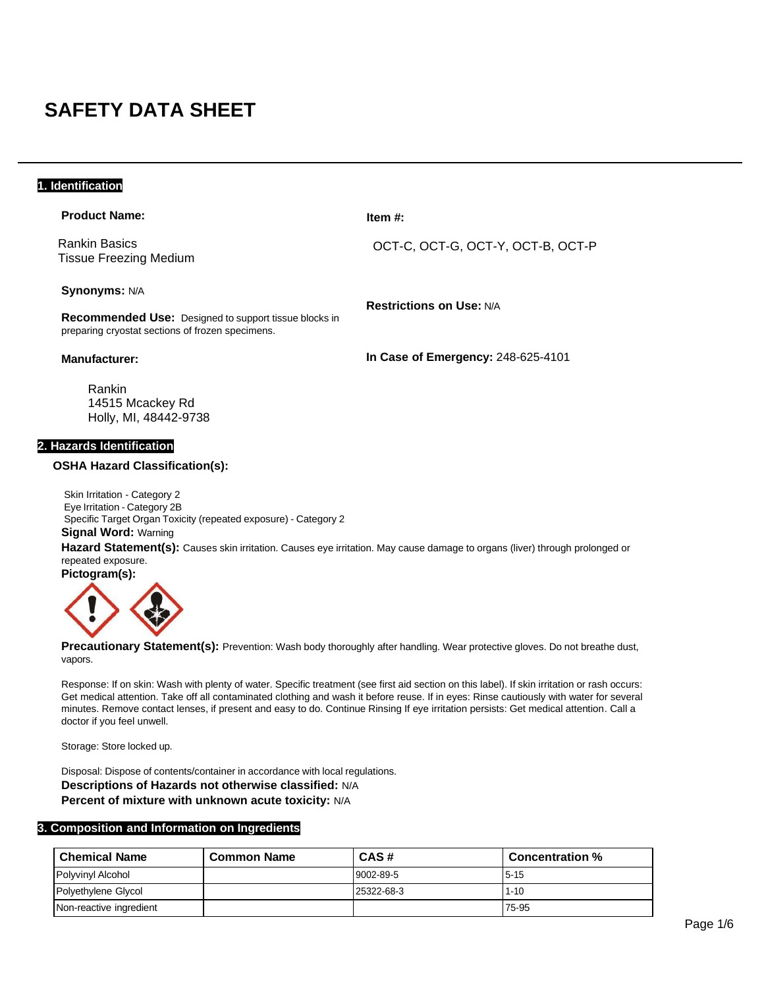# **SAFETY DATA SHEET**

# **1. Identification**

| <b>Product Name:</b>                                                                 | Item $#$ :                         |
|--------------------------------------------------------------------------------------|------------------------------------|
| <b>Rankin Basics</b><br>Tissue Freezing Medium                                       | OCT-C, OCT-G, OCT-Y, OCT-B, OCT-P  |
| <b>Synonyms: N/A</b><br><b>Recommended Use:</b> Designed to support tissue blocks in | <b>Restrictions on Use: N/A</b>    |
| preparing cryostat sections of frozen specimens.<br><b>Manufacturer:</b>             | In Case of Emergency: 248-625-4101 |
|                                                                                      |                                    |

Rankin 14515 Mcackey Rd Holly, MI, 48442-9738

# **2. Hazards Identification**

#### **OSHA Hazard Classification(s):**

Skin Irritation - Category 2 Eye Irritation - Category 2B Specific Target Organ Toxicity (repeated exposure) - Category 2 **Signal Word:** Warning

**Hazard Statement(s):** Causes skin irritation. Causes eye irritation. May cause damage to organs (liver) through prolonged or repeated exposure.



Precautionary Statement(s): Prevention: Wash body thoroughly after handling. Wear protective gloves. Do not breathe dust, vapors.

Response: If on skin: Wash with plenty of water. Specific treatment (see first aid section on this label). If skin irritation or rash occurs: Get medical attention. Take off all contaminated clothing and wash it before reuse. If in eyes: Rinse cautiously with water for several minutes. Remove contact lenses, if present and easy to do. Continue Rinsing If eye irritation persists: Get medical attention. Call a doctor if you feel unwell.

Storage: Store locked up.

Disposal: Dispose of contents/container in accordance with local regulations. **Descriptions of Hazards not otherwise classified:** N/A **Percent of mixture with unknown acute toxicity:** N/A

#### **3. Composition and Information on Ingredients**

| <b>Chemical Name</b>    | <b>Common Name</b> | CAS#       | Concentration % |
|-------------------------|--------------------|------------|-----------------|
| Polyvinyl Alcohol       |                    | 9002-89-5  | $5 - 15$        |
| Polyethylene Glycol     |                    | 25322-68-3 | $1 - 10$        |
| Non-reactive ingredient |                    |            | 75-95           |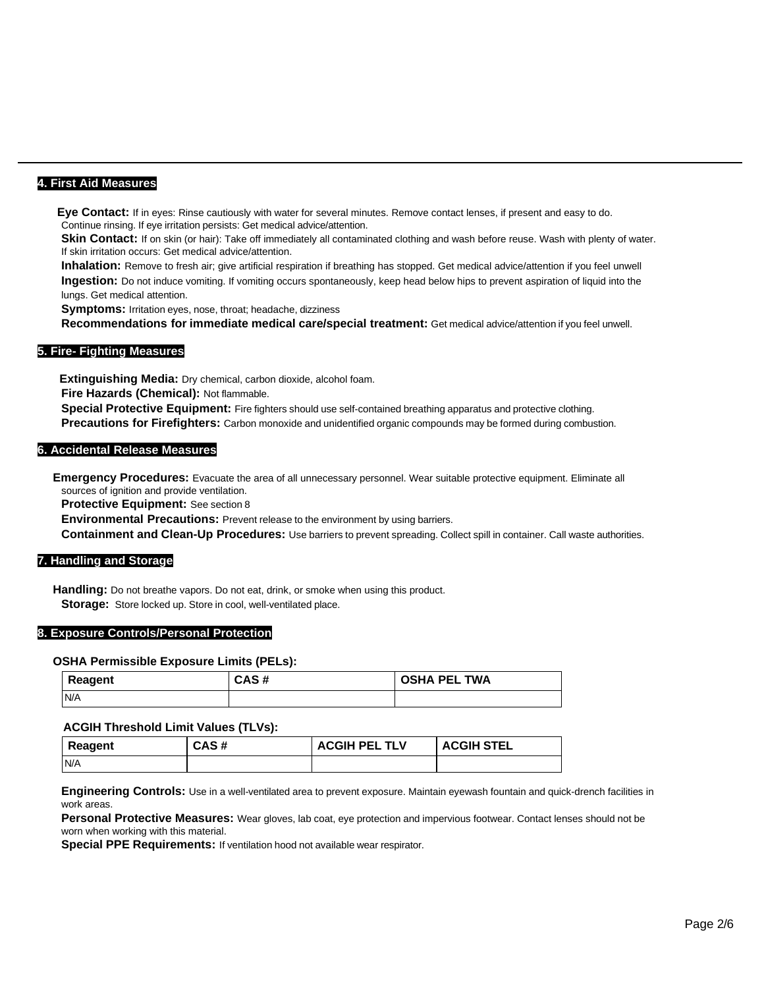# **4. First Aid Measures**

 **Eye Contact:** If in eyes: Rinse cautiously with water for several minutes. Remove contact lenses, if present and easy to do. Continue rinsing. If eye irritation persists: Get medical advice/attention.

Skin Contact: If on skin (or hair): Take off immediately all contaminated clothing and wash before reuse. Wash with plenty of water. If skin irritation occurs: Get medical advice/attention.

**Inhalation:** Remove to fresh air; give artificial respiration if breathing has stopped. Get medical advice/attention if you feel unwell **Ingestion:** Do not induce vomiting. If vomiting occurs spontaneously, keep head below hips to prevent aspiration of liquid into the lungs. Get medical attention.

**Symptoms:** Irritation eyes, nose, throat; headache, dizziness

**Recommendations for immediate medical care/special treatment:** Get medical advice/attention if you feel unwell.

# **5. Fire- Fighting Measures**

 **Extinguishing Media:** Dry chemical, carbon dioxide, alcohol foam.

**Fire Hazards (Chemical):** Not flammable.

**Special Protective Equipment:** Fire fighters should use self-contained breathing apparatus and protective clothing. **Precautions for Firefighters:** Carbon monoxide and unidentified organic compounds may be formed during combustion.

#### **6. Accidental Release Measures**

**Emergency Procedures:** Evacuate the area of all unnecessary personnel. Wear suitable protective equipment. Eliminate all sources of ignition and provide ventilation.

**Protective Equipment:** See section 8

**Environmental Precautions:** Prevent release to the environment by using barriers.

**Containment and Clean-Up Procedures:** Use barriers to prevent spreading. Collect spill in container. Call waste authorities.

# **7. Handling and Storage**

**Handling:** Do not breathe vapors. Do not eat, drink, or smoke when using this product. **Storage:** Store locked up. Store in cool, well-ventilated place.

#### **8. Exposure Controls/Personal Protection**

#### **OSHA Permissible Exposure Limits (PELs):**

| Reagent | CAS# | <b>OSHA PEL TWA</b> |
|---------|------|---------------------|
| N/A     |      |                     |

#### **ACGIH Threshold Limit Values (TLVs):**

| Reagent | CAS# | <b>ACGIH PEL TLV</b> | <b>ACGIH STEL</b> |
|---------|------|----------------------|-------------------|
| IN/A    |      |                      |                   |

**Engineering Controls:** Use in a well-ventilated area to prevent exposure. Maintain eyewash fountain and quick-drench facilities in work areas.

**Personal Protective Measures:** Wear gloves, lab coat, eye protection and impervious footwear. Contact lenses should not be worn when working with this material.

**Special PPE Requirements:** If ventilation hood not available wear respirator.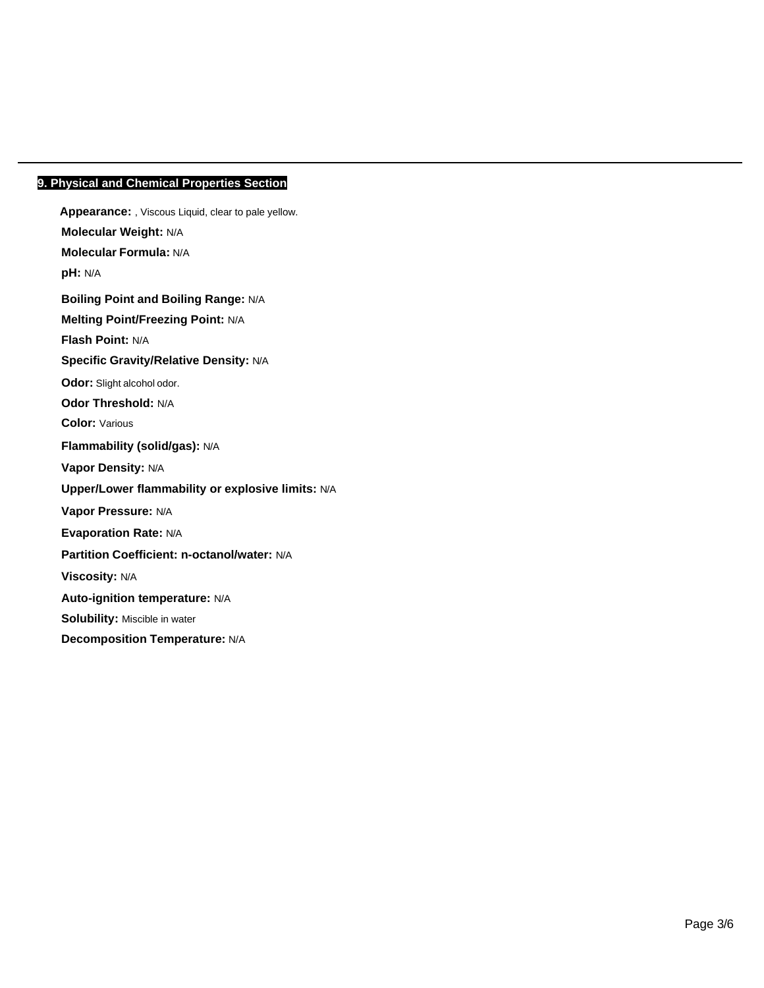# **9. Physical and Chemical Properties Section**

**Appearance:** , Viscous Liquid, clear to pale yellow. **Molecular Weight:** N/A **Molecular Formula:** N/A **pH:** N/A **Boiling Point and Boiling Range:** N/A **Melting Point/Freezing Point:** N/A **Flash Point:** N/A **Specific Gravity/Relative Density:** N/A **Odor:** Slight alcohol odor. **Odor Threshold:** N/A **Color:** Various **Flammability (solid/gas):** N/A **Vapor Density:** N/A **Upper/Lower flammability or explosive limits:** N/A **Vapor Pressure:** N/A **Evaporation Rate:** N/A **Partition Coefficient: n-octanol/water:** N/A **Viscosity:** N/A **Auto-ignition temperature:** N/A **Solubility:** Miscible in water **Decomposition Temperature:** N/A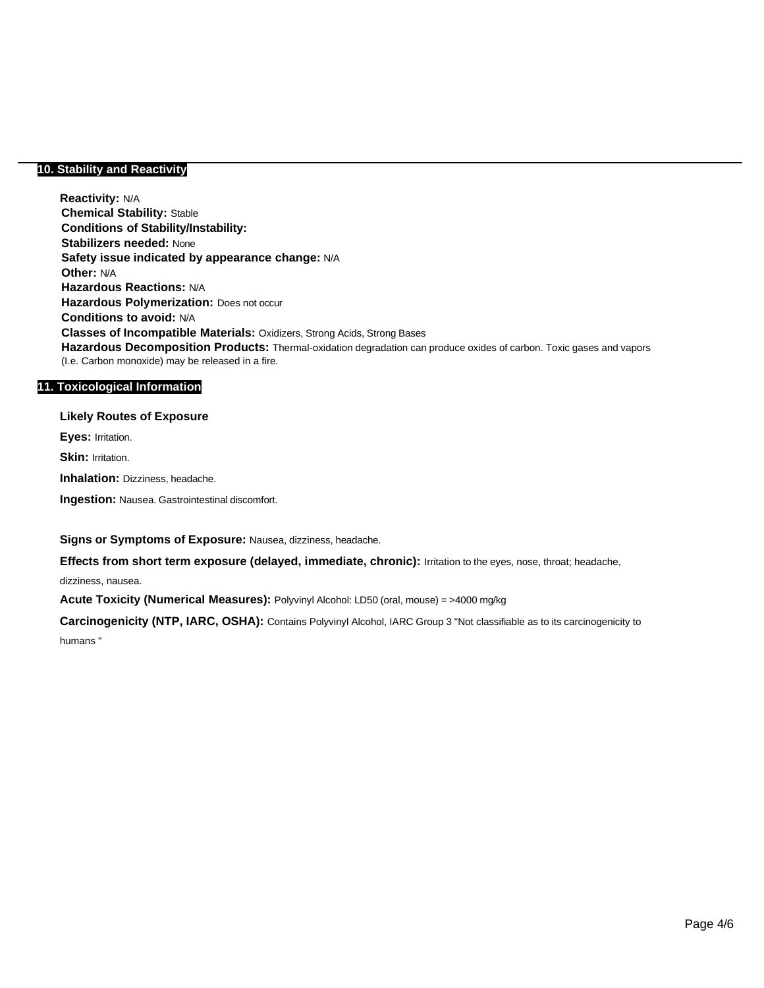# **10. Stability and Reactivity**

**Reactivity:** N/A **Chemical Stability:** Stable **Conditions of Stability/Instability: Stabilizers needed:** None **Safety issue indicated by appearance change:** N/A **Other:** N/A **Hazardous Reactions:** N/A **Hazardous Polymerization:** Does not occur **Conditions to avoid:** N/A **Classes of Incompatible Materials:** Oxidizers, Strong Acids, Strong Bases **Hazardous Decomposition Products:** Thermal-oxidation degradation can produce oxides of carbon. Toxic gases and vapors (I.e. Carbon monoxide) may be released in a fire.

# **11. Toxicological Information**

**Likely Routes of Exposure Eyes:** Irritation.

**Skin: Irritation.** 

**Inhalation:** Dizziness, headache.

**Ingestion:** Nausea. Gastrointestinal discomfort.

**Signs or Symptoms of Exposure:** Nausea, dizziness, headache.

**Effects from short term exposure (delayed, immediate, chronic):** Irritation to the eyes, nose, throat; headache, dizziness, nausea.

**Acute Toxicity (Numerical Measures):** Polyvinyl Alcohol: LD50 (oral, mouse) = >4000 mg/kg

**Carcinogenicity (NTP, IARC, OSHA):** Contains Polyvinyl Alcohol, IARC Group 3 "Not classifiable as to its carcinogenicity to humans "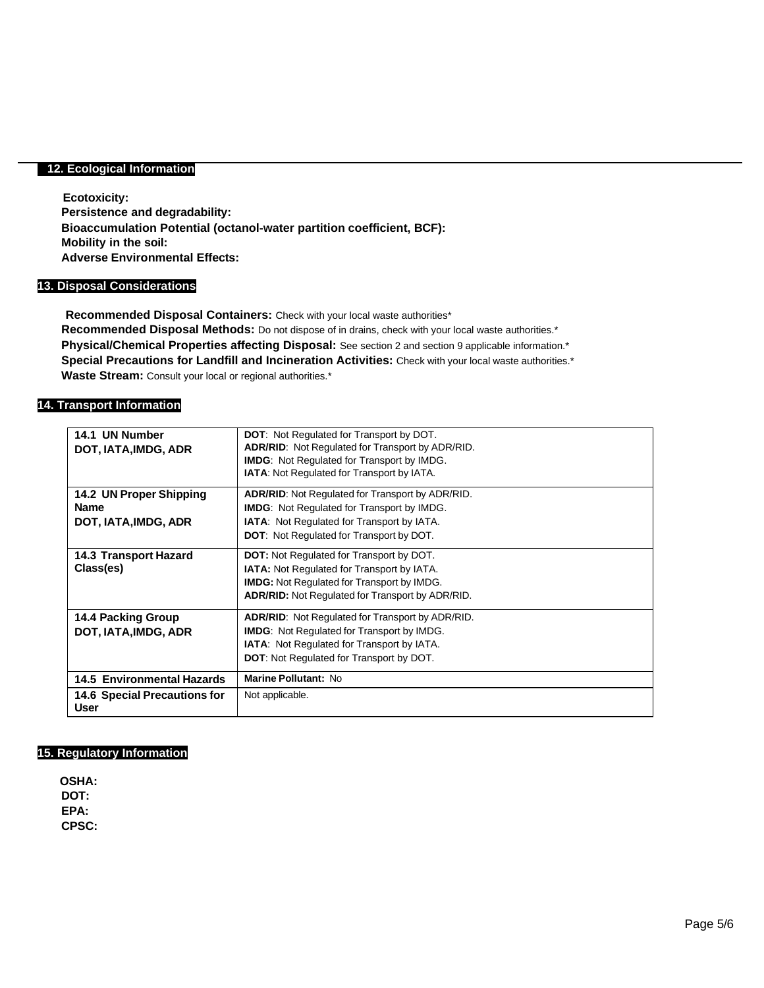# **12. Ecological Information**

**Ecotoxicity: Persistence and degradability: Bioaccumulation Potential (octanol-water partition coefficient, BCF): Mobility in the soil: Adverse Environmental Effects:**

#### **13. Disposal Considerations**

**Recommended Disposal Containers:** Check with your local waste authorities\* **Recommended Disposal Methods:** Do not dispose of in drains, check with your local waste authorities.\* **Physical/Chemical Properties affecting Disposal:** See section 2 and section 9 applicable information.\* **Special Precautions for Landfill and Incineration Activities:** Check with your local waste authorities.\* Waste Stream: Consult your local or regional authorities.\*

# **14. Transport Information**

| 14.1 UN Number                              | <b>DOT:</b> Not Regulated for Transport by DOT.         |
|---------------------------------------------|---------------------------------------------------------|
| DOT, IATA, IMDG, ADR                        | <b>ADR/RID:</b> Not Regulated for Transport by ADR/RID. |
|                                             | <b>IMDG:</b> Not Regulated for Transport by IMDG.       |
|                                             | <b>IATA:</b> Not Regulated for Transport by IATA.       |
| 14.2 UN Proper Shipping                     | <b>ADR/RID:</b> Not Regulated for Transport by ADR/RID. |
| <b>Name</b>                                 | <b>IMDG:</b> Not Regulated for Transport by IMDG.       |
| DOT, IATA, IMDG, ADR                        | <b>IATA:</b> Not Regulated for Transport by IATA.       |
|                                             | <b>DOT:</b> Not Regulated for Transport by DOT.         |
| <b>14.3 Transport Hazard</b>                | <b>DOT:</b> Not Regulated for Transport by DOT.         |
| Class(es)                                   | <b>IATA:</b> Not Regulated for Transport by IATA.       |
|                                             | <b>IMDG:</b> Not Regulated for Transport by IMDG.       |
|                                             | <b>ADR/RID:</b> Not Regulated for Transport by ADR/RID. |
| 14.4 Packing Group                          | <b>ADR/RID:</b> Not Regulated for Transport by ADR/RID. |
| DOT, IATA, IMDG, ADR                        | <b>IMDG:</b> Not Regulated for Transport by IMDG.       |
|                                             | <b>IATA:</b> Not Regulated for Transport by IATA.       |
|                                             | <b>DOT:</b> Not Regulated for Transport by DOT.         |
| <b>14.5 Environmental Hazards</b>           | Marine Pollutant: No                                    |
| <b>14.6 Special Precautions for</b><br>User | Not applicable.                                         |

# **15. Regulatory Information**

**OSHA: DOT: EPA: CPSC:**